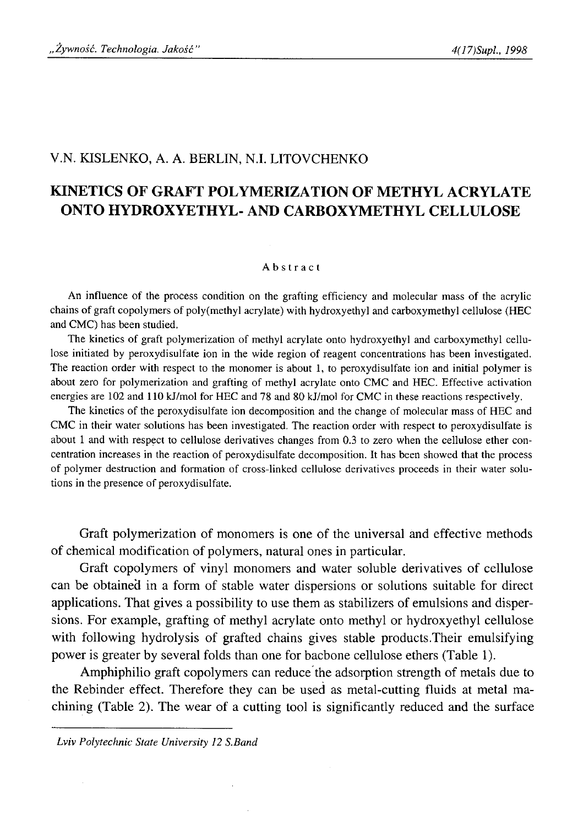## V.N. KISLENKO, A. A. BERLIN, N.I. LITOVCHENKO

# **KINETICS OF GRAFT POLYMERIZATION OF METHYL ACRYLATE ONTO HYDROXYETHYL- AND CARBOXYMETHYL CELLULOSE**

### Abstract

An influence of the process condition on the grafting efficiency and molecular mass of the acrylic chains of graft copolymers of poly(methyl acrylate) with hydroxyethyl and carboxymethyl cellulose (HEC and CMC) has been studied.

The kinetics of graft polymerization of methyl acrylate onto hydroxyethyl and carboxymethyl cellulose initiated by peroxydisulfate ion in the wide region of reagent concentrations has been investigated. The reaction order with respect to the monomer is about 1, to peroxydisulfate ion and initial polymer is about zero for polymerization and grafting of methyl acrylate onto CMC and HEC. Effective activation energies are 102 and 110 kJ/mol for HEC and 78 and 80 kJ/mol for CMC in these reactions respectively.

The kinetics of the peroxydisulfate ion decomposition and the change of molecular mass of HEC and CMC in their water solutions has been investigated. The reaction order with respect to peroxydisulfate is about 1 and with respect to cellulose derivatives changes from 0.3 to zero when the cellulose ether concentration increases in the reaction of peroxydisulfate decomposition. It has been showed that the process of polymer destruction and formation of cross-linked cellulose derivatives proceeds in their water solutions in the presence of peroxydisulfate.

Graft polymerization of monomers is one of the universal and effective methods of chemical modification of polymers, natural ones in particular.

Graft copolymers of vinyl monomers and water soluble derivatives of cellulose can be obtained in a form of stable water dispersions or solutions suitable for direct applications. That gives a possibility to use them as stabilizers of emulsions and dispersions. For example, grafting of methyl acrylate onto methyl or hydroxyethyl cellulose with following hydrolysis of grafted chains gives stable products.Their emulsifying power is greater by several folds than one for bacbone cellulose ethers (Table 1).

Amphiphilio graft copolymers can reduce the adsorption strength of metals due to the Rebinder effect. Therefore they can be used as metal-cutting fluids at metal machining (Table 2). The wear of a cutting tool is significantly reduced and the surface

*Lviv Polytechnic State University 12 S.Band*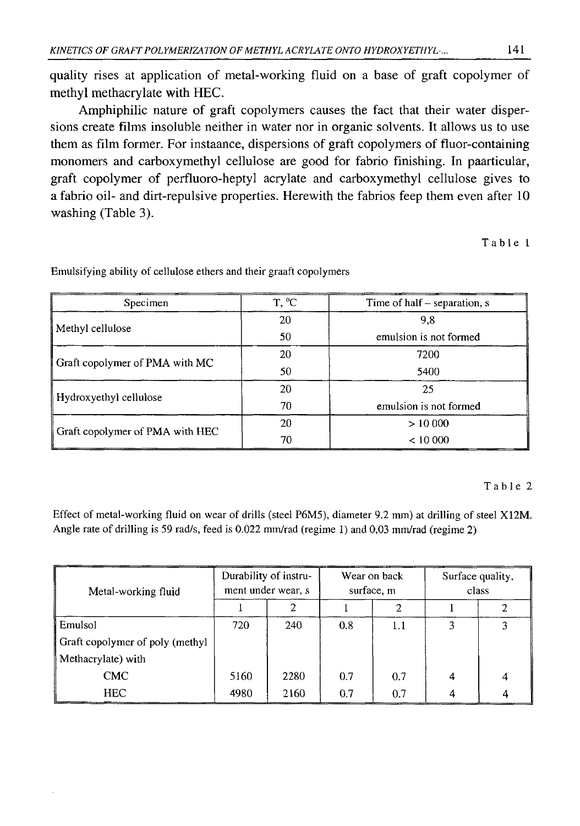quality rises at application of metal-working fluid on a base of graft copolymer of methyl methacrylate with HEC.

Amphiphilic nature of graft copolymers causes the fact that their water dispersions create films insoluble neither in water nor in organic solvents. It allows us to use them as film former. For instaance, dispersions of graft copolymers of fluor-containing monomers and carboxymethyl cellulose are good for fabrio finishing. In paarticular, graft copolymer of perfluoro-heptyl acrylate and carboxymethyl cellulose gives to a fabrio oil- and dirt-repulsive properties. Herewith the fabrios feep them even after 10 washing (Table 3).

**Table 1**

| Specimen                        | T, <sup>o</sup> C | Time of half – separation, s |
|---------------------------------|-------------------|------------------------------|
| Methyl cellulose                | 20                | 9.8                          |
|                                 | 50                | emulsion is not formed       |
|                                 | 20                | 7200                         |
| Graft copolymer of PMA with MC  | 50                | 5400                         |
|                                 | 20                | 25                           |
| Hydroxyethyl cellulose          | 70                | emulsion is not formed       |
| Graft copolymer of PMA with HEC | 20                | >10000                       |
|                                 | 70                | < 10000                      |

Emulsifying ability of cellulose ethers and their graaft copolymers

## Table 2

Effect of metal-working fluid on wear of drills (steel P6M5), diameter 9.2 mm) at drilling of steel X12M. Angle rate of drilling is 59 rad/s, feed is 0.022 mm/rad (regime 1) and 0,03 mm/rad (regime 2)

| Metal-working fluid             | Durability of instru-<br>ment under wear, s |      | Wear on back<br>surface, m |     | Surface quality,<br>class |  |
|---------------------------------|---------------------------------------------|------|----------------------------|-----|---------------------------|--|
|                                 |                                             |      |                            |     |                           |  |
| Emulsol                         | 720                                         | 240  | 0.8                        | 1.1 |                           |  |
| Graft copolymer of poly (methyl |                                             |      |                            |     |                           |  |
| Methacrylate) with              |                                             |      |                            |     |                           |  |
| <b>CMC</b>                      | 5160                                        | 2280 | 0.7                        | 0.7 | 4                         |  |
| <b>HEC</b>                      | 4980                                        | 2160 | 0.7                        | 0.7 |                           |  |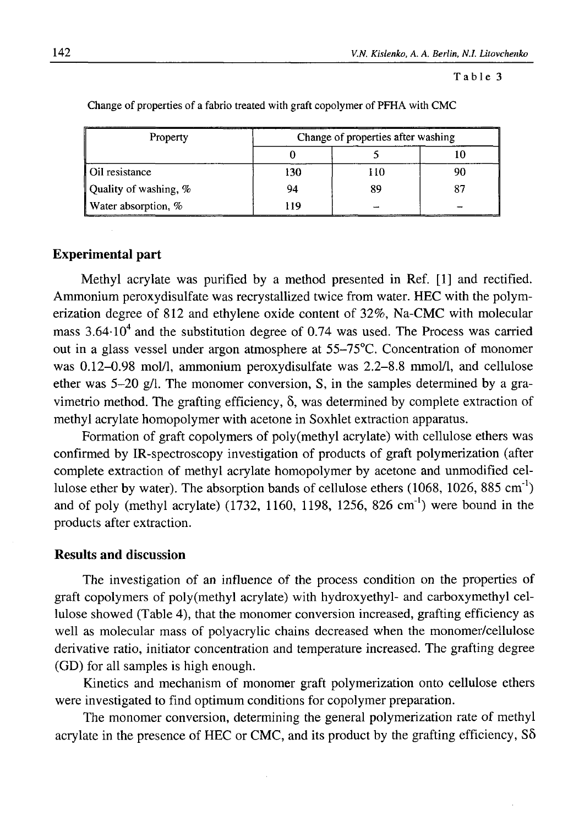### Table 3

| Property              | Change of properties after washing |     |  |  |
|-----------------------|------------------------------------|-----|--|--|
|                       |                                    |     |  |  |
| Oil resistance        | 130                                | 110 |  |  |
| Quality of washing, % | 94                                 | 89  |  |  |
| Water absorption, %   | 119                                |     |  |  |

Change of properties of a fabrio treated with graft copolymer of PFHA with CMC

## **Experimental part**

Methyl acrylate was purified by a method presented in Ref. [1] and rectified. Ammonium peroxydisulfate was recrystallized twice from water. HEC with the polymerization degree of 812 and ethylene oxide content of 32%, Na-CMC with molecular mass  $3.64 \cdot 10^4$  and the substitution degree of 0.74 was used. The Process was carried out in a glass vessel under argon atmosphere at 55-75°C. Concentration of monomer was 0.12-0.98 mol/1, ammonium peroxydisulfate was 2.2-8.8 mmol/1, and cellulose ether was 5-20 g/l. The monomer conversion, S, in the samples determined by a gravimetrio method. The grafting efficiency, δ, was determined by complete extraction of methyl acrylate homopolymer with acetone in Soxhlet extraction apparatus.

Formation of graft copolymers of poly(methyl acrylate) with cellulose ethers was confirmed by IR-spectroscopy investigation of products of graft polymerization (after complete extraction of methyl acrylate homopolymer by acetone and unmodified cellulose ether by water). The absorption bands of cellulose ethers  $(1068, 1026, 885 \text{ cm}^{-1})$ and of poly (methyl acrylate) (1732, 1160, 1198, 1256, 826 cm<sup>-1</sup>) were bound in the products after extraction.

## **Results and discussion**

The investigation of an influence of the process condition on the properties of graft copolymers of poly(methyl acrylate) with hydroxyethyl- and carboxymethyl cellulose showed (Table 4), that the monomer conversion increased, grafting efficiency as well as molecular mass of polyacrylic chains decreased when the monomer/cellulose derivative ratio, initiator concentration and temperature increased. The grafting degree (GD) for all samples is high enough.

Kinetics and mechanism of monomer graft polymerization onto cellulose ethers were investigated to find optimum conditions for copolymer preparation.

The monomer conversion, determining the general polymerization rate of methyl acrylate in the presence of HEC or CMC, and its product by the grafting efficiency,  $S\delta$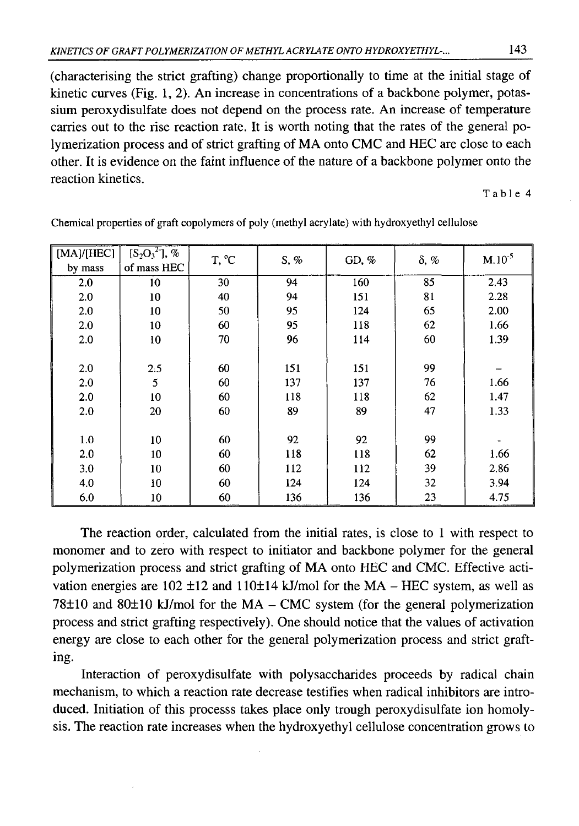(characterising the strict grafting) change proportionally to time at the initial stage of kinetic curves (Fig. 1, 2). An increase in concentrations of a backbone polymer, potassium peroxydisulfate does not depend on the process rate. An increase of temperature carries out to the rise reaction rate. It is worth noting that the rates of the general polymerization process and of strict grafting of MA onto CMC and HEC are close to each other. It is evidence on the faint influence of the nature of a backbone polymer onto the reaction kinetics.

Table 4

| [MA]/[HEC] | $[{\rm S}_2{\rm O}_3{}^2]$ , % | T, °C | S, % | GD, $%$ | δ, % | $M.10^{-5}$ |
|------------|--------------------------------|-------|------|---------|------|-------------|
| by mass    | of mass HEC                    |       |      |         |      |             |
| 2.0        | 10                             | 30    | 94   | 160     | 85   | 2.43        |
| 2.0        | 10                             | 40    | 94   | 151     | 81   | 2.28        |
| 2.0        | 10                             | 50    | 95   | 124     | 65   | 2.00        |
| 2.0        | 10                             | 60    | 95   | 118     | 62   | 1.66        |
| 2.0        | 10                             | 70    | 96   | 114     | 60   | 1.39        |
|            |                                |       |      |         |      |             |
| 2.0        | 2.5                            | 60    | 151  | 151     | 99   |             |
| 2.0        | 5                              | 60    | 137  | 137     | 76   | 1.66        |
| 2.0        | 10                             | 60    | 118  | 118     | 62   | 1.47        |
| 2.0        | 20                             | 60    | 89   | 89      | 47   | 1.33        |
|            |                                |       |      |         |      |             |
| 1.0        | 10                             | 60    | 92   | 92      | 99   |             |
| 2.0        | 10                             | 60    | 118  | 118     | 62   | 1.66        |
| 3.0        | 10                             | 60    | 112  | 112     | 39   | 2.86        |
| 4.0        | 10                             | 60    | 124  | 124     | 32   | 3.94        |
| 6.0        | 10                             | 60    | 136  | 136     | 23   | 4.75        |

Chemical properties of graft copolymers of poly (methyl acrylate) with hydroxyethyl cellulose

The reaction order, calculated from the initial rates, is close to 1 with respect to monomer and to zero with respect to initiator and backbone polymer for the general polymerization process and strict grafting of MA onto HEC and CMC. Effective activation energies are  $102 \pm 12$  and  $110 \pm 14$  kJ/mol for the MA - HEC system, as well as  $78±10$  and  $80±10$  kJ/mol for the MA – CMC system (for the general polymerization process and strict grafting respectively). One should notice that the values of activation energy are close to each other for the general polymerization process and strict grafting.

Interaction of peroxydisulfate with polysaccharides proceeds by radical chain mechanism, to which a reaction rate decrease testifies when radical inhibitors are introduced. Initiation of this processs takes place only trough peroxydisulfate ion homolysis. The reaction rate increases when the hydroxyethyl cellulose concentration grows to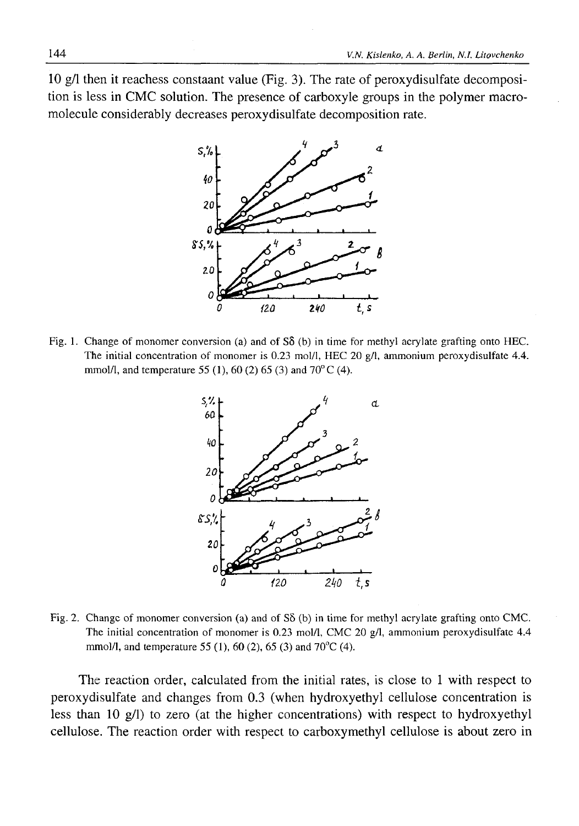10 g/1 then it reachess constaant value (Fig. 3). The rate of peroxydisulfate decomposition is less in CMC solution. The presence of carboxyle groups in the polymer macromolecule considerably decreases peroxydisulfate decomposition rate.



Fig. 1. Change of monomer conversion (a) and of Sô (b) in time for methyl acrylate grafting onto HEC. The initial concentration of monomer is 0.23 mol/1, HEC 20 g/1, ammonium peroxydisulfate 4.4. mmol/l, and temperature 55 (1), 60 (2) 65 (3) and 70 $^{\circ}$  C (4).



Fig. 2. Change of monomer conversion (a) and of S5 (b) in time for methyl acrylate grafting onto CMC. The initial concentration of monomer is 0.23 mol/l, CMC 20 g/l, ammonium peroxydisulfate 4.4 mmol/l, and temperature 55 (1), 60 (2), 65 (3) and 70<sup>o</sup>C (4).

The reaction order, calculated from the initial rates, is close to 1 with respect to peroxydisulfate and changes from 0.3 (when hydroxyethyl cellulose concentration is less than 10 g/1) to zero (at the higher concentrations) with respect to hydroxyethyl cellulose. The reaction order with respect to carboxymethyl cellulose is about zero in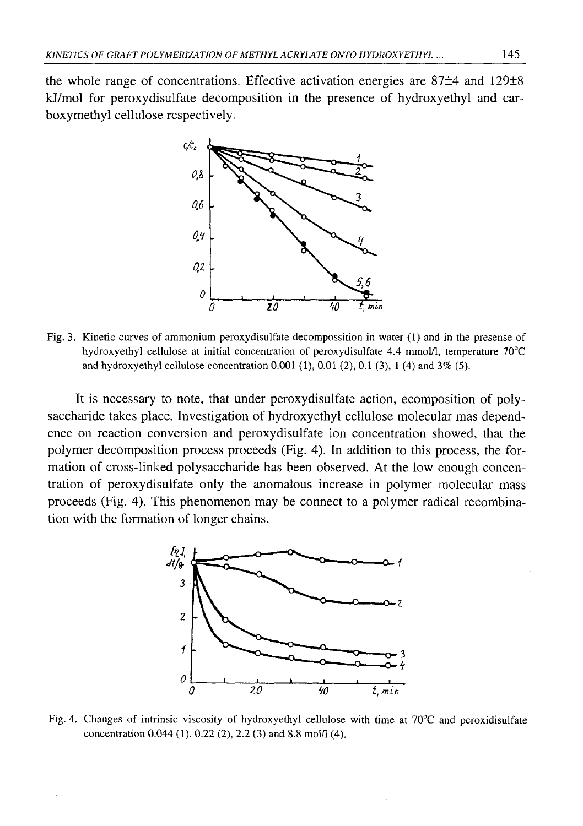the whole range of concentrations. Effective activation energies are 87±4 and 129±8 kJ/mol for peroxydisulfate decomposition in the presence of hydroxyethyl and carboxymethyl cellulose respectively.



Fig. 3. Kinetic curves of ammonium peroxydisulfate decompossition in water (1) and in the presense of hydroxyethyl cellulose at initial concentration of peroxydisulfate 4.4 mmol/1, temperature 70°C and hydroxyethyl cellulose concentration 0.001 (1), 0.01 (2), 0.1 (3), 1 (4) and 3% (5).

It is necessary to note, that under peroxydisulfate action, ecomposition of polysaccharide takes place. Investigation of hydroxyethyl cellulose molecular mas dependence on reaction conversion and peroxydisulfate ion concentration showed, that the polymer decomposition process proceeds (Fig. 4). In addition to this process, the formation of cross-linked polysaccharide has been observed. At the low enough concentration of peroxydisulfate only the anomalous increase in polymer molecular mass proceeds (Fig. 4). This phenomenon may be connect to a polymer radical recombination with the formation of longer chains.



Fig. 4. Changes of intrinsic viscosity of hydroxyethyl cellulose with time at 70°C and peroxidisulfate concentration 0.044 (1), 0.22 (2), 2.2 (3) and 8.8 mol/1 (4).